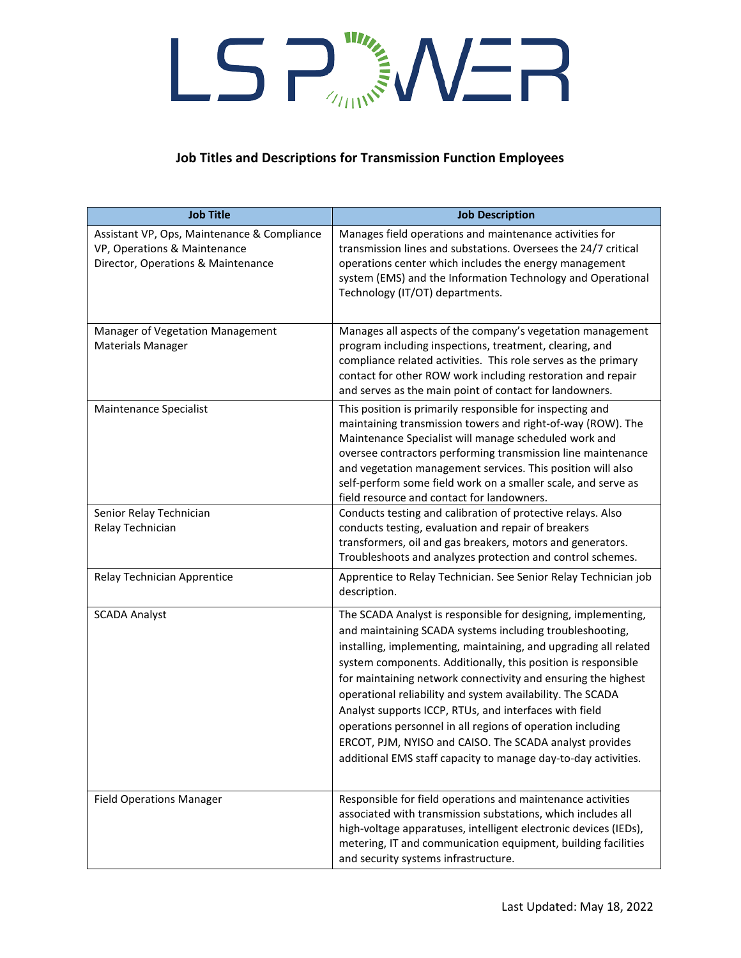### **Job Titles and Descriptions for Transmission Function Employees**

| <b>Job Title</b>                                                                                                  | <b>Job Description</b>                                                                                                                                                                                                                                                                                                                                                                                                                                                                                                                                                                                                                             |
|-------------------------------------------------------------------------------------------------------------------|----------------------------------------------------------------------------------------------------------------------------------------------------------------------------------------------------------------------------------------------------------------------------------------------------------------------------------------------------------------------------------------------------------------------------------------------------------------------------------------------------------------------------------------------------------------------------------------------------------------------------------------------------|
| Assistant VP, Ops, Maintenance & Compliance<br>VP, Operations & Maintenance<br>Director, Operations & Maintenance | Manages field operations and maintenance activities for<br>transmission lines and substations. Oversees the 24/7 critical<br>operations center which includes the energy management<br>system (EMS) and the Information Technology and Operational<br>Technology (IT/OT) departments.                                                                                                                                                                                                                                                                                                                                                              |
| Manager of Vegetation Management<br><b>Materials Manager</b>                                                      | Manages all aspects of the company's vegetation management<br>program including inspections, treatment, clearing, and<br>compliance related activities. This role serves as the primary<br>contact for other ROW work including restoration and repair<br>and serves as the main point of contact for landowners.                                                                                                                                                                                                                                                                                                                                  |
| Maintenance Specialist                                                                                            | This position is primarily responsible for inspecting and<br>maintaining transmission towers and right-of-way (ROW). The<br>Maintenance Specialist will manage scheduled work and<br>oversee contractors performing transmission line maintenance<br>and vegetation management services. This position will also<br>self-perform some field work on a smaller scale, and serve as<br>field resource and contact for landowners.                                                                                                                                                                                                                    |
| Senior Relay Technician<br>Relay Technician                                                                       | Conducts testing and calibration of protective relays. Also<br>conducts testing, evaluation and repair of breakers<br>transformers, oil and gas breakers, motors and generators.<br>Troubleshoots and analyzes protection and control schemes.                                                                                                                                                                                                                                                                                                                                                                                                     |
| Relay Technician Apprentice                                                                                       | Apprentice to Relay Technician. See Senior Relay Technician job<br>description.                                                                                                                                                                                                                                                                                                                                                                                                                                                                                                                                                                    |
| <b>SCADA Analyst</b>                                                                                              | The SCADA Analyst is responsible for designing, implementing,<br>and maintaining SCADA systems including troubleshooting,<br>installing, implementing, maintaining, and upgrading all related<br>system components. Additionally, this position is responsible<br>for maintaining network connectivity and ensuring the highest<br>operational reliability and system availability. The SCADA<br>Analyst supports ICCP, RTUs, and interfaces with field<br>operations personnel in all regions of operation including<br>ERCOT, PJM, NYISO and CAISO. The SCADA analyst provides<br>additional EMS staff capacity to manage day-to-day activities. |
| <b>Field Operations Manager</b>                                                                                   | Responsible for field operations and maintenance activities<br>associated with transmission substations, which includes all<br>high-voltage apparatuses, intelligent electronic devices (IEDs),<br>metering, IT and communication equipment, building facilities<br>and security systems infrastructure.                                                                                                                                                                                                                                                                                                                                           |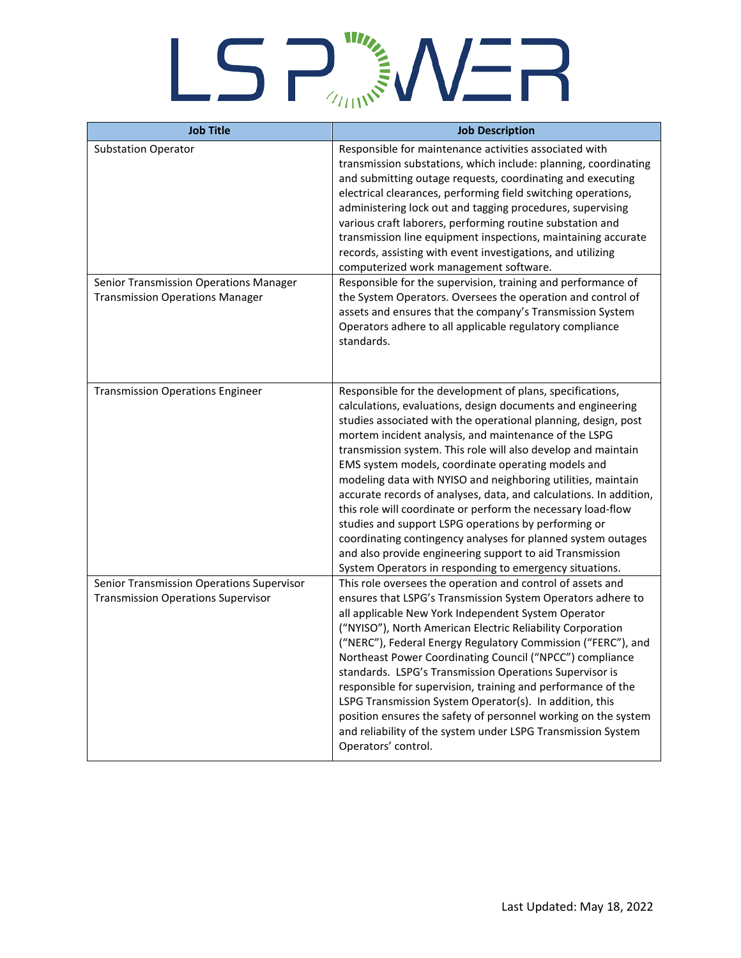| <b>Job Title</b>                                                                       | <b>Job Description</b>                                                                                                                                                                                                                                                                                                                                                                                                                                                                                                                                                                                                                                                                                                                                                                                                          |
|----------------------------------------------------------------------------------------|---------------------------------------------------------------------------------------------------------------------------------------------------------------------------------------------------------------------------------------------------------------------------------------------------------------------------------------------------------------------------------------------------------------------------------------------------------------------------------------------------------------------------------------------------------------------------------------------------------------------------------------------------------------------------------------------------------------------------------------------------------------------------------------------------------------------------------|
| <b>Substation Operator</b>                                                             | Responsible for maintenance activities associated with<br>transmission substations, which include: planning, coordinating<br>and submitting outage requests, coordinating and executing<br>electrical clearances, performing field switching operations,<br>administering lock out and tagging procedures, supervising<br>various craft laborers, performing routine substation and<br>transmission line equipment inspections, maintaining accurate<br>records, assisting with event investigations, and utilizing<br>computerized work management software.                                                                                                                                                                                                                                                                   |
| Senior Transmission Operations Manager<br><b>Transmission Operations Manager</b>       | Responsible for the supervision, training and performance of<br>the System Operators. Oversees the operation and control of<br>assets and ensures that the company's Transmission System<br>Operators adhere to all applicable regulatory compliance<br>standards.                                                                                                                                                                                                                                                                                                                                                                                                                                                                                                                                                              |
| <b>Transmission Operations Engineer</b>                                                | Responsible for the development of plans, specifications,<br>calculations, evaluations, design documents and engineering<br>studies associated with the operational planning, design, post<br>mortem incident analysis, and maintenance of the LSPG<br>transmission system. This role will also develop and maintain<br>EMS system models, coordinate operating models and<br>modeling data with NYISO and neighboring utilities, maintain<br>accurate records of analyses, data, and calculations. In addition,<br>this role will coordinate or perform the necessary load-flow<br>studies and support LSPG operations by performing or<br>coordinating contingency analyses for planned system outages<br>and also provide engineering support to aid Transmission<br>System Operators in responding to emergency situations. |
| Senior Transmission Operations Supervisor<br><b>Transmission Operations Supervisor</b> | This role oversees the operation and control of assets and<br>ensures that LSPG's Transmission System Operators adhere to<br>all applicable New York Independent System Operator<br>("NYISO"), North American Electric Reliability Corporation<br>("NERC"), Federal Energy Regulatory Commission ("FERC"), and<br>Northeast Power Coordinating Council ("NPCC") compliance<br>standards. LSPG's Transmission Operations Supervisor is<br>responsible for supervision, training and performance of the<br>LSPG Transmission System Operator(s). In addition, this<br>position ensures the safety of personnel working on the system<br>and reliability of the system under LSPG Transmission System<br>Operators' control.                                                                                                       |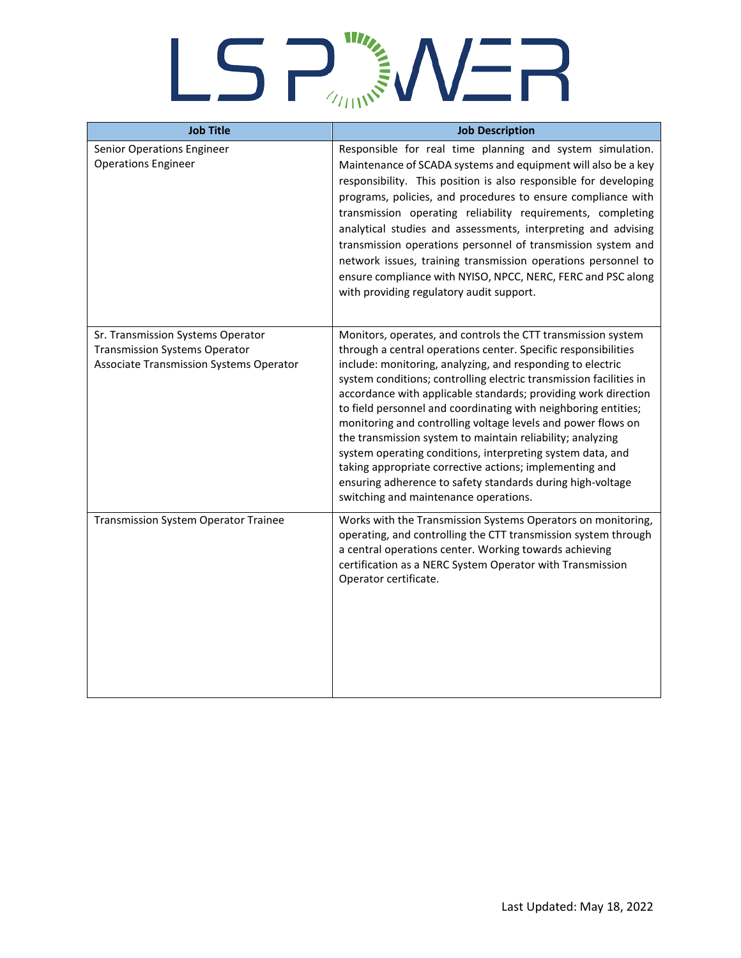| <b>Job Title</b>                                                                                                     | <b>Job Description</b>                                                                                                                                                                                                                                                                                                                                                                                                                                                                                                                                                                                                                                                                                                                                               |
|----------------------------------------------------------------------------------------------------------------------|----------------------------------------------------------------------------------------------------------------------------------------------------------------------------------------------------------------------------------------------------------------------------------------------------------------------------------------------------------------------------------------------------------------------------------------------------------------------------------------------------------------------------------------------------------------------------------------------------------------------------------------------------------------------------------------------------------------------------------------------------------------------|
| Senior Operations Engineer<br><b>Operations Engineer</b>                                                             | Responsible for real time planning and system simulation.<br>Maintenance of SCADA systems and equipment will also be a key<br>responsibility. This position is also responsible for developing<br>programs, policies, and procedures to ensure compliance with<br>transmission operating reliability requirements, completing<br>analytical studies and assessments, interpreting and advising<br>transmission operations personnel of transmission system and<br>network issues, training transmission operations personnel to<br>ensure compliance with NYISO, NPCC, NERC, FERC and PSC along<br>with providing regulatory audit support.                                                                                                                          |
| Sr. Transmission Systems Operator<br><b>Transmission Systems Operator</b><br>Associate Transmission Systems Operator | Monitors, operates, and controls the CTT transmission system<br>through a central operations center. Specific responsibilities<br>include: monitoring, analyzing, and responding to electric<br>system conditions; controlling electric transmission facilities in<br>accordance with applicable standards; providing work direction<br>to field personnel and coordinating with neighboring entities;<br>monitoring and controlling voltage levels and power flows on<br>the transmission system to maintain reliability; analyzing<br>system operating conditions, interpreting system data, and<br>taking appropriate corrective actions; implementing and<br>ensuring adherence to safety standards during high-voltage<br>switching and maintenance operations. |
| <b>Transmission System Operator Trainee</b>                                                                          | Works with the Transmission Systems Operators on monitoring,<br>operating, and controlling the CTT transmission system through<br>a central operations center. Working towards achieving<br>certification as a NERC System Operator with Transmission<br>Operator certificate.                                                                                                                                                                                                                                                                                                                                                                                                                                                                                       |